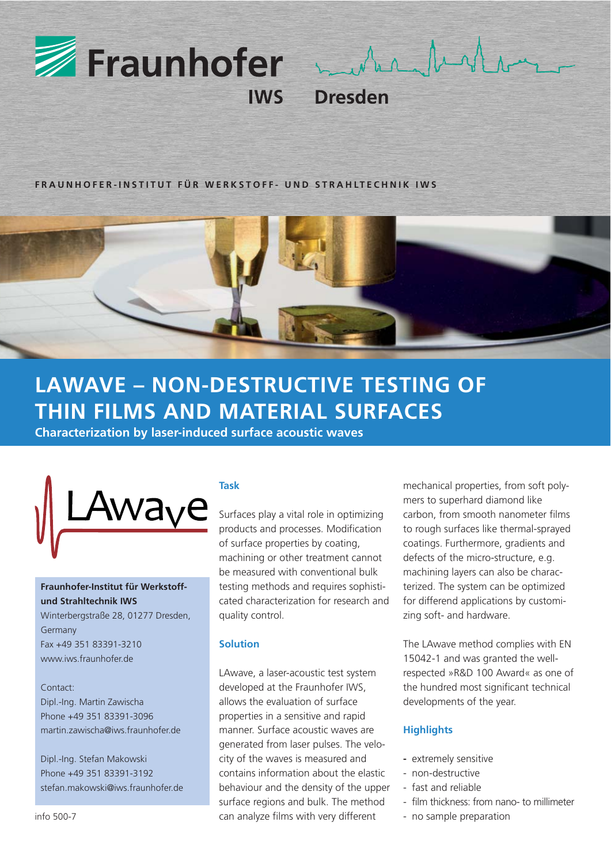

**FRAUNHOFER-INSTITUT FÜR WERKSTOFF- UND STRAHLTECHNIK IWS**



# **LAWAVE – NON-DESTRUCTIVE TESTING OF THIN FILMS AND MATERIAL SURFACES**

**Characterization by laser-induced surface acoustic waves**



# **Fraunhofer-Institut für Werkstoffund Strahltechnik IWS**

Winterbergstraße 28, 01277 Dresden, Germany Fax +49 351 83391-3210 www.iws.fraunhofer.de

Contact: Dipl.-Ing. Martin Zawischa Phone +49 351 83391-3096 martin.zawischa@iws.fraunhofer.de

Dipl.-Ing. Stefan Makowski Phone +49 351 83391-3192 stefan.makowski@iws.fraunhofer.de

## **Task**

Surfaces play a vital role in optimizing products and processes. Modification of surface properties by coating, machining or other treatment cannot be measured with conventional bulk testing methods and requires sophisticated characterization for research and quality control.

## **Solution**

LAwave, a laser-acoustic test system developed at the Fraunhofer IWS, allows the evaluation of surface properties in a sensitive and rapid manner. Surface acoustic waves are generated from laser pulses. The velocity of the waves is measured and contains information about the elastic behaviour and the density of the upper surface regions and bulk. The method can analyze films with very different

mechanical properties, from soft polymers to superhard diamond like carbon, from smooth nanometer films to rough surfaces like thermal-sprayed coatings. Furthermore, gradients and defects of the micro-structure, e.g. machining layers can also be characterized. The system can be optimized for differend applications by customizing soft- and hardware.

The LAwave method complies with EN 15042-1 and was granted the wellrespected »R&D 100 Award« as one of the hundred most significant technical developments of the year.

### **Highlights**

- **-** extremely sensitive
- non-destructive
- fast and reliable
- film thickness: from nano- to millimeter
- no sample preparation